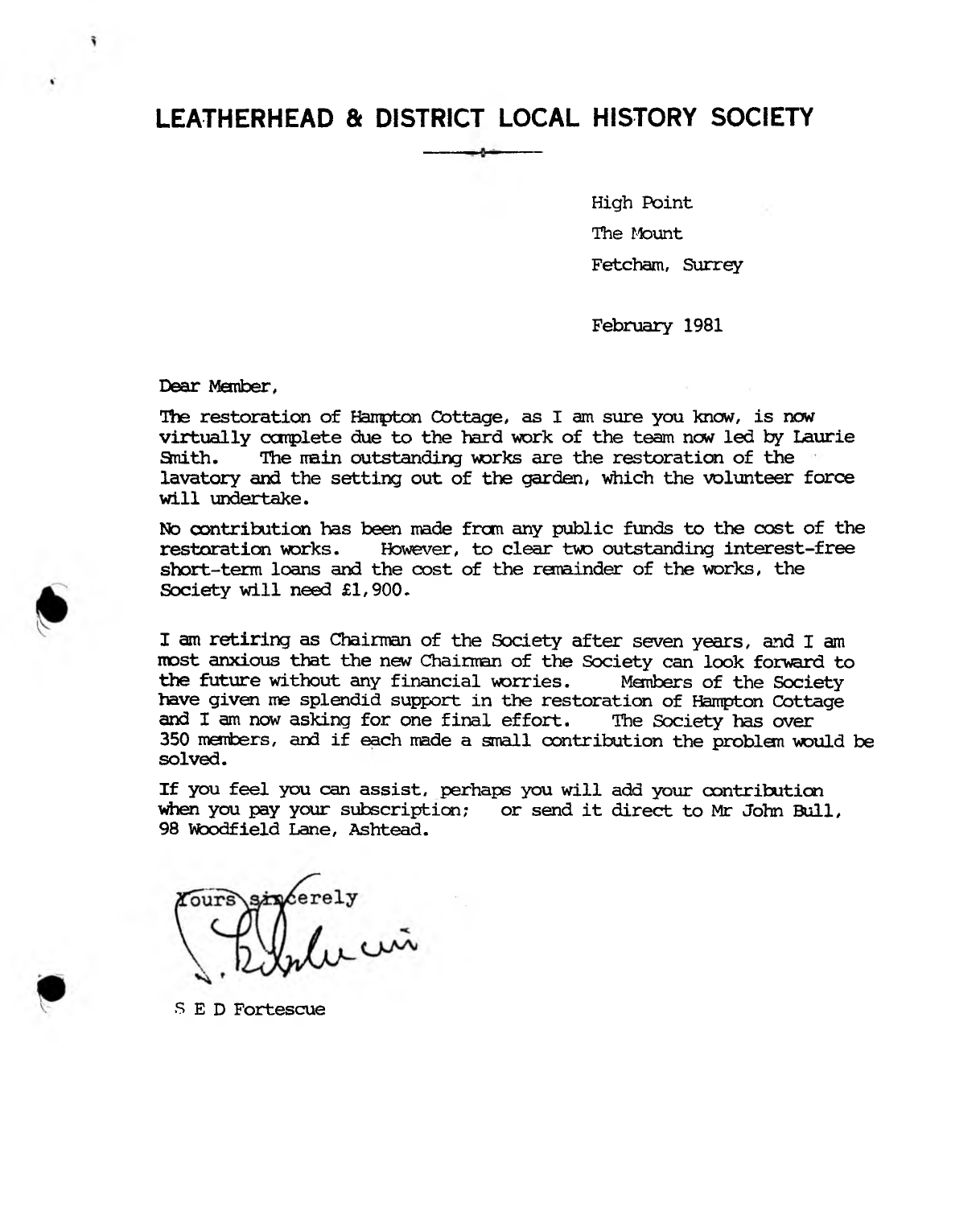High Point The Mount Fetcham, Surrey

February 1981

Dear Member,

The restoration of Hampton Cottage, as I am sure you know, is now virtually complete due to the hard work of the team now led by Laurie<br>Smith. The main outstanding works are the restoration of the The main outstanding works are the restoration of the lavatory and the setting out of the garden, which the volunteer force will undertake.

No contribution has been made frcrn. any public funds to the cost of the restoration works. However, to clear two outstanding interest-free short-term loans and the cost of the remainder of the works, the Society will need £1,900.

I am retiring as Chairman of the Society after seven years, and I am most anxious that the new Chairman of the Society can look forward to the future without any financial warries. Members of the Society have given me splendid support in the restoration of Hampton Cottage and I am now asking for one final effort. The Society has over 350 members, and if each made a small contribution the problem would be solved.

If you feel you can assist, perhaps you will add your contribution when you pay your subscription; or send it direct to Mr John Bull, 98 Woodfield Lane, Ashtead.

S E D Fortescue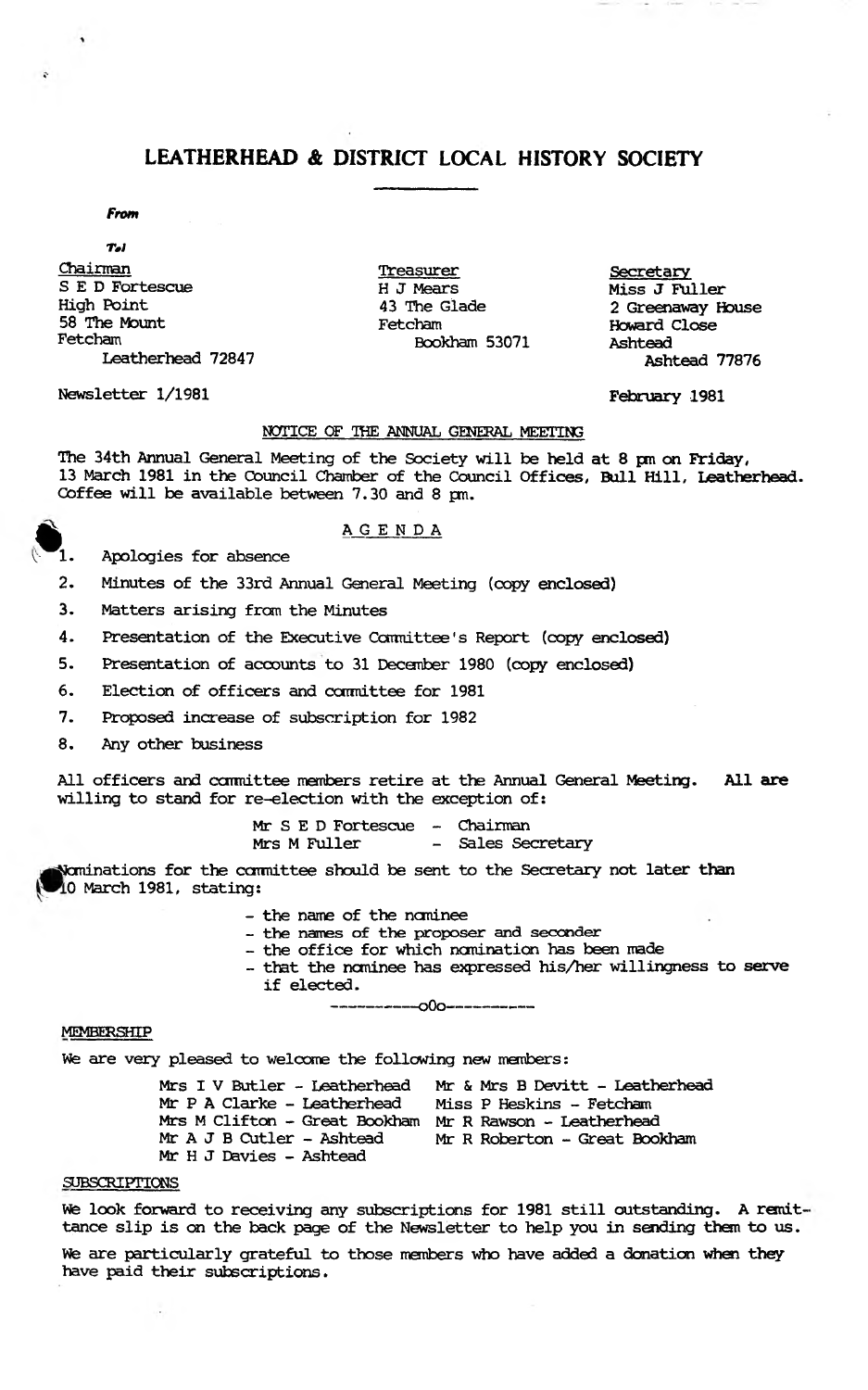#### *From*

 $Tol$ Chairman Treasurer Secretary S E D Fortescue H J Mears Miss J Fuller<br>High Point 43 The Glade 2 Greenaway H High Point 43 The Glade 2 Greenaway House 58 The Mount Fetcham Howard Close

Leatherhead 72847

Newsletter 1/1981 February 1981

Fetcham Bookham 53071 Ashtead

#### **NOTICE OF THE ANNUAL GENERAL MEETING**

The 34th Annual General Meeting of the Society will be held at 8 pm on Friday, 13 March 1981 in the Council Chamber of the Council Offices, Bull Hill, Leatherhead. Coffee will be available between 7.30 and 8 pm.

#### **AGENDA**

1. Apologies for absence

- 2. Minutes of the 33rd Annual General Meeting (copy enclosed)
- 3. Matters arising from the Minutes

4. **Presentation of the Executive Committee's Report (copy enclosed)** 

5. Presentation of accounts to 31 December 1980 (copy enclosed)

6. Election of officers and carmittee for 1981

7. Proposed increase of subscription for 1982

8. Any other business

All officers and committee members retire at the Annual General Meeting. All are willing to stand for re-election with the exception of:

> Mr S E D Fortescue - Chairman<br>Mrs M Fuller - Sales See - Sales Secretary

Nominations for the committee should be sent to the Secretary not later than 0 March 1981, stating:

- the name of the nominee

- **the names of the proposer and seconder**
- the office for which nomination has been made
- that the nominee has expressed his/her willingness to serve if elected.

------------------- \_o0o----------------------

#### **MEMBERSHIP**

We are very pleased to welcome the following new members:

Mrs I V Butler - Leatherhead Mr & Mrs B Devitt - Leatherhead Mr P A Clarke - Leatherhead Miss P Beskins - Fetcham Mrs M Clifton - Great Bookham Mr R Rawson - Leatherhead Mr R Roberton - Great Bookham Mr H J Davies - Ashtead

#### SUBSCRIPTIONS

We look forward to receiving any subscriptions for 1981 still outstanding. A remittance slip is on the back page of the Newsletter to help you in sending them to us.

We are particularly grateful to those members who have added a donation when they have paid their subscriptions.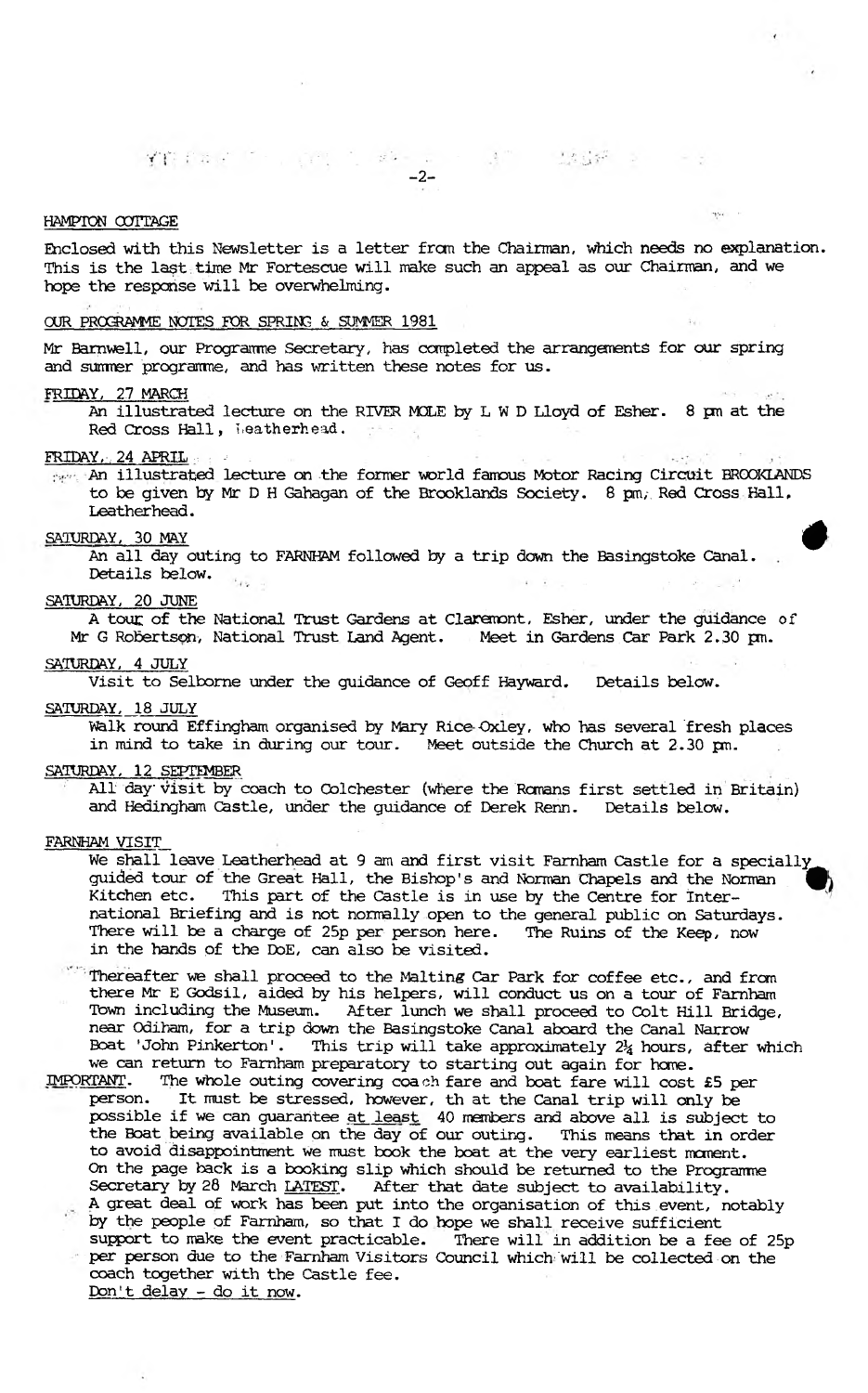**YT fait for production** -2-

#### **HAMPTON CUITAGE**

Enclosed with this Newsletter is a letter from the Chairman, which needs no explanation. This is the last time Mr Fortescue will make such an appeal as our Chairman, and we hope the response will be overwhelming.

**ALCOHOL** 

 $+ 1 + 7$ 

#### OUR PROGRAMME NOTES FOR SPRING & SUMMER 1981

Mr Barnwell, our Programme Secretary, has completed the arrangements for our spring and sumrer programre, and has written these notes for us.

#### FRIDAY, 27 MARCH

An illustrated lecture on the RIVER MOLE by L W D Lloyd of Esher. 8 pm at the Red Cross Hall, Leatherhead.

#### $\text{FRIDAY.}$ , 24 APRIL

An illustrated lecture on the former world famous Motor Racing Circuit EROOKLANDS to be given by Mr D H Gahagan of the Brooklands Society. 8 pm, Red Cross Hall, Leatherhead.

#### SAIURDAY, 30 MAY ^

An all day outing to FARNHAM followed by a trip down the Basingstoke Canal. Details below.

#### SATURDAY, 20 JUNE

A tout of the National Trust Gardens at Claremont, Esher, under the guidance of Mr G Robertson, National Trust Land Agent. Meet in Gardens Car Park 2.30 pm.

#### SATURDAY, 4 JULY

Visit to Selbome under the guidance of Geoff Hayward. Details below.

#### SATURDAY, 18 JULY

walk round Effingham organised by Mary Rice-Qxley, who has several fresh places in mind to take in during our tour. Meet outside the Church at 2.30 **pm.**

#### SATURDAY, 12 SEPTEMBER

All day visit by coach to Colchester (where the Romans first settled in Britain) and Bedingham Castle, under the guidance of Derek Renn. Details below.

#### FARNHAM VISIT

We shall leave Leatherhead at 9 am and first visit Farnham Castle for a specially guided tour of the Great Hall, the Bishop's and Norman Chapels and the Norman ^ Kitchen etc. This part of the Castle is in use by the Centre for International Briefing and is not normally open to the general public on Saturdays. There will be a charge of 25p per person here. The Ruins of the Keep, now in the hands of the DoE, can also be visited.

Thereafter we shall proceed to the Malting Car Park for coffee etc., and from there Mr E Godsil, aided by his helpers, will conduct us on a tour of Famham Town including the Museum. After lunch we shall proceed to Colt Hill Bridge, near Odiham, for a trip down the Basingstoke Canal aboard the Canal Narrow Boat 'John Pinkerton'. This trip will take approximately  $2\frac{1}{4}$  hours, after which we can return to Famham preparatory to starting out again for home.

IMPORTANT. The whole outing covering coach fare and boat fare will cost £5 per person. It must be stressed, however, th at the Canal trip will only be possible if we can guarantee at least 40 members and above all is subject to the Boat being available on the day of our outing. This means that in order to avoid disappointment we must book the boat at the very earliest moment. On the page hack is a booking slip which should be returned to the Programme Secretary by 28 March LATEST. After that date subject to availability. . A great deal of work has been put into the organisation of this.event, notably by the people of Famham, so that I do hope we shall receive sufficient support to make the event practicable. There will in addition be a fee of 25p per person due to the Famham Visitors Council which 'Will be collected on the coach together with the Castle fee. Don't delay - do it now.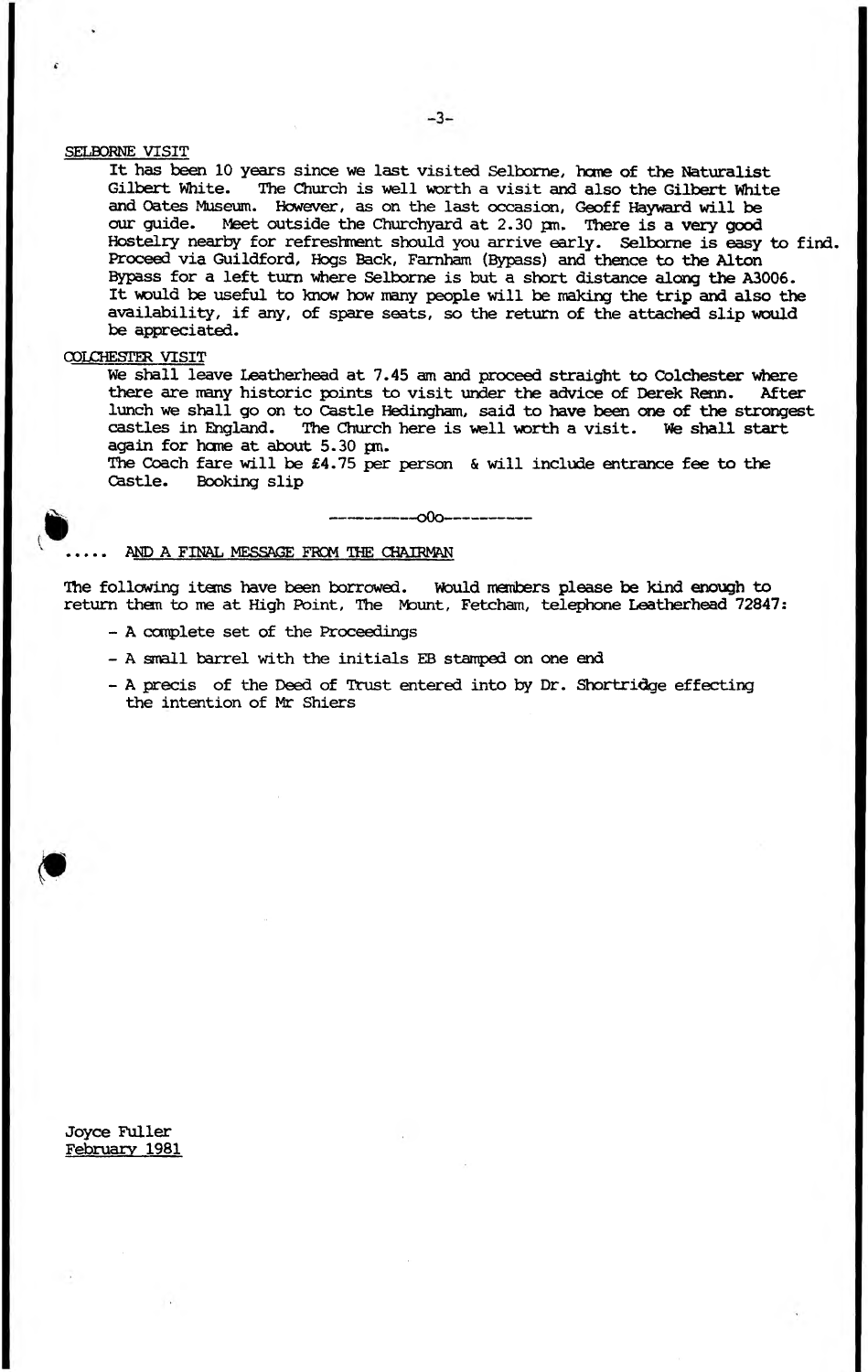#### SELBORNE VISIT

It has been 10 years since we last visited Selborne, home of the Naturalist<br>Gilbert White. The Church is well worth a visit and also the Gilbert White The Church is well worth a visit and also the Gilbert White and Oates Museum. However, as on the last occasion, Geoff Hayward will be our quide. Meet outside the Churchvard at 2.30 cm. There is a very good Meet outside the Churchyard at 2.30 pm. There is a very good Hostelry nearby for refreshment should you arrive early. Selbome is easy to find. Proceed via Guildford, Hogs Back, Farnham (Bypass) and thence to the Alton Bypass for a left turn where Selborne is but a short distance along the A3006. It would be useful to know how many people will be making the trip and also the availability, if any, of spare seats, so the return of the attached slip would be appreciated.

#### COLCHESTER VISIT

We shall leave Leatherhead at 7.45 am and proceed straight to Colchester where there are many historic points to visit under the advice of Derek Renn. After lunch we shall go on to Castle Hedingham, said to have been one of the strongest castles in England. The Church here is well worth a visit. We shall start The Church here is well worth a visit. We shall start again for hone at about 5.30 pm.

The Coach fare will be  $£4.75$  per person & will include entrance fee to the Castle. Booking slip Booking slip

| — \*™— ---oOo--------

#### AND A FINAL MESSAGE FROM THE CHAIRMAN

The following items have been borrowed. Would members please be kind enough to return them to me at High Point, The Mount, Fetcham, telephone Leatherhead 72847;

- A complete set of the Proceedings
- A small barrel with the initials EB stamped on one end
- A precis of the Deed of Trust entered into by Dr. Shortridge effecting the intention of Mr Shiers

Joyce Fuller February 1981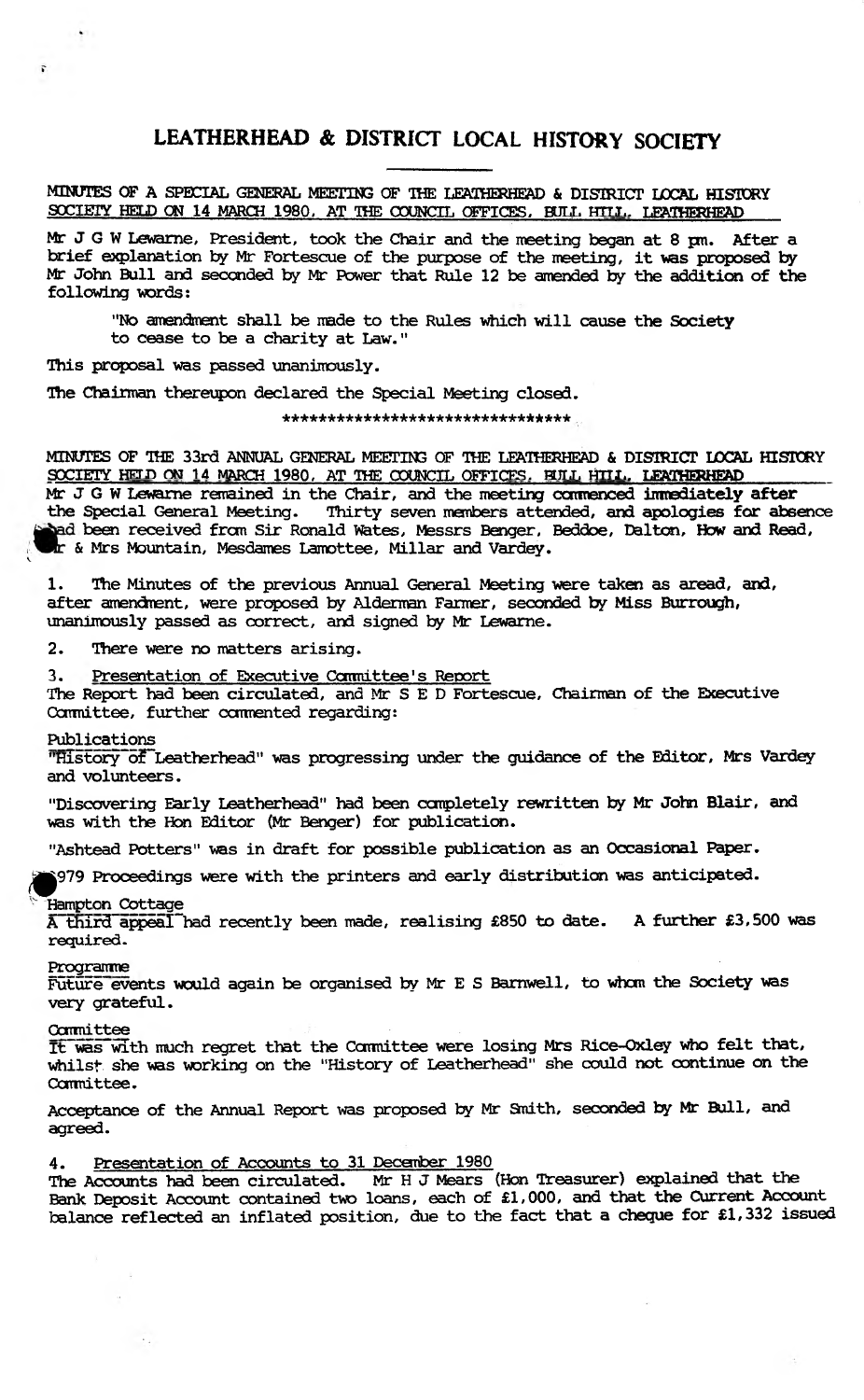MINUTES OF A SPECIAL GENERAL MEETING OF THE LEATHERHEAD & DISTRICT LOCAL HISTORY SOCIETY HELD ON 14 MARCH 1980. AT THE COUNCIL OFFICES, BUIL HTLL. LEATHERHEAD

Mr J G W Lewame, President, took the Chair and the meeting began at 8 pm. After a brief explanation by Mr Fortescue of the purpose of the meeting, it was proposed by Mr John Bull and seconded by Mr Power that Rule 12 be amended by the addition of the following words:

"No amendment shall be made to the Rules which will cause the Society to cease to be a charity at Law."

This proposal was passed unanimously.

The Chairman thereupon declared the Special Meeting closed.

**\*\*\*\*\*\*\*\*\*\*\*\*\*\*\*\*\*\*\*\*\*\*\*\*\*\*\*\*\*\*\*\*\***

MINUTES OF THE 33rd ANNUAL GENERAL MEETIN3 OF THE LEATHERHEAD & DISTRICT LOCAL HISTORY SOCIETY HELD ON 14 MARCH 1980, AT THE COUNCIL OFFICES, BULL HILL, LEATHERHEAD Mr J G W Lewarne remained in the Chair, and the meeting commenced immediately after<br>the Special General Meeting. Thirty seven members attended, and apologies for abso Thirty seven members attended, and apologies for absence

been received frcm Sir Ronald Wates, Messrs Benger, Beddoe, Dalton, How and Read, & Mrs Mountain, Mesdames Lamottee, Millar and Vardey.

The Minutes of the previous Annual General Meeting were taken as aread, and, after amendment, were proposed by Alderman Farmer, seconded by Miss Burrough, unanimously passed as correct, and signed by Mr Lewame.

2. There were no matters arising.

3. Presentation of Executive Committee's Report

The Report had been circulated, and Mr S E D Fortescue, Chairman of the Executive Committee, further ccmnented regarding:

#### Publications

**v**

 $\overline{r}$ .

"History of Leatherhead" was progressing under the guidance of the Editor, Mrs Vardey and volunteers.

"Discovering Early Leatherhead" had been completely rewritten by Mr John Blair, and was with the Hon Editor (Mr Benger) for publication.

"Ashtead Potters" was in draft for possible publication as an Occasional Paper.

^p979 Proceedings were with the printers and early distribution was anticipated.

#### Hampton Cottage

A third appeal had recently been made, realising £850 to date. A further £3,500 was **required.**

#### **Programme**

Future events would again be organised by Mr E S Barnwell, to whcm the Society was very grateful.

#### **Committee**

 $\rightarrow$  .

It was with much regret that the Committee were losing Mrs Rice-Oxley who felt that, whilst she was working on the "History of Leatherhead" she could not continue on tie Committee.

Acceptance of the Annual Report was proposed by Mr Smith, seconded by Mr Bull, and agreed.

# 4. Presentation of Accounts to 31 December 1980

The Accounts had been circulated. Mr H J Mears (Hon Treasurer) explained that the Bank Deposit Account contained two loans, each of £1,000, and that the Current Account balance reflected an inflated position, due to the fact that a cheque for £1,332 issued

 $\sim$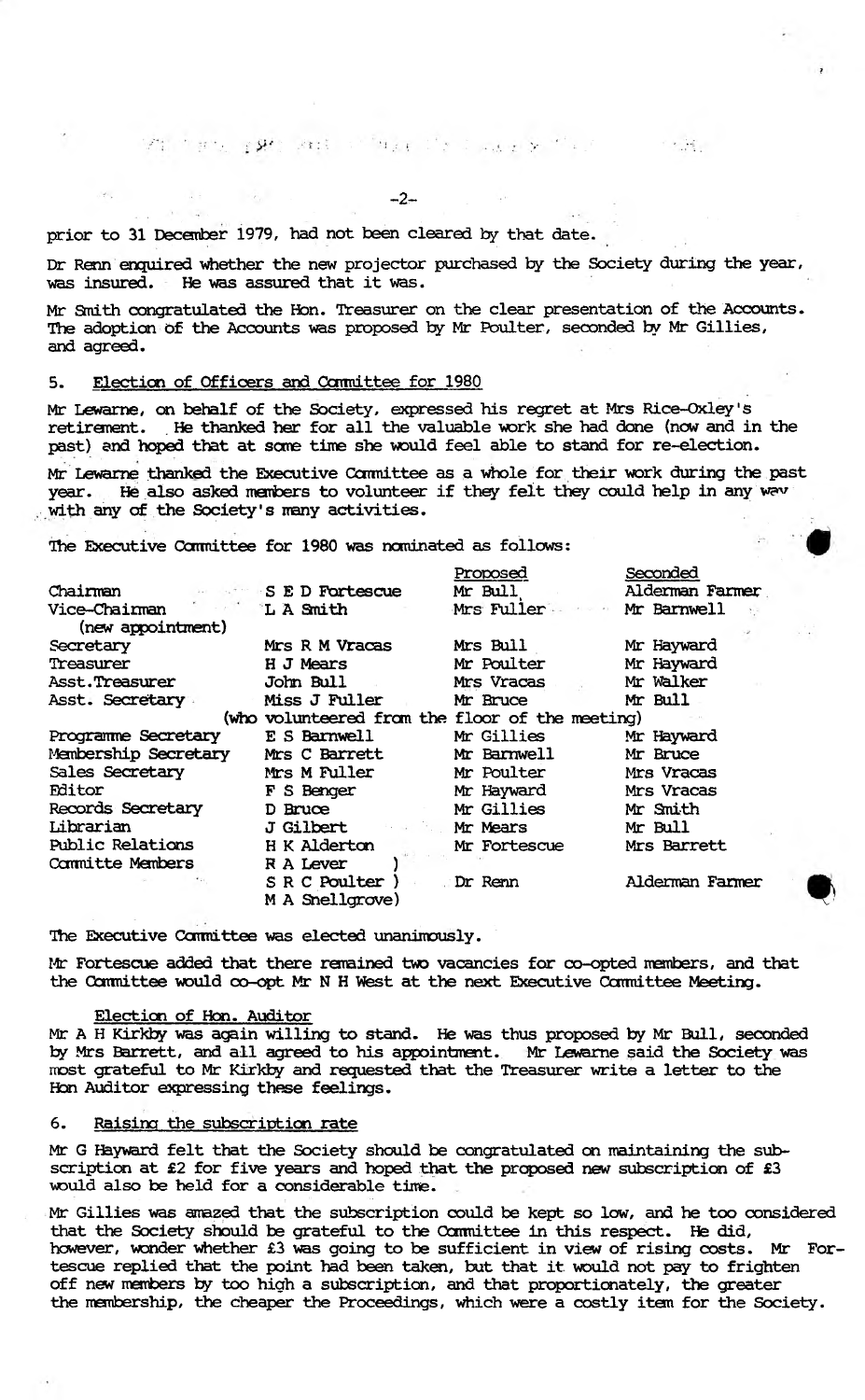identing and position of the part of the part of the part of the part of the part of the part of the part of the part of the part of the part of the part of the part of the part of the part of the part of the part of the

-2-

prior to 31 December 1979, had not been cleared by that date.

Dr Renn enquired whether the new projector purchased by the Society during the year, was insured. He was assured that it was.

不可通。

Mr Smith congratulated the Hon. Treasurer on the clear presentation of the Accounts. The adoption of the Accounts was proposed by Mr Poulter, seconded by Mr Gillies, and agreed.

#### 5. Election of Officers and Conmittee for 1980

Mr Lewame, on behalf of the Society, expressed his regret at Mrs Rice-Qxley's retirement. . He thanked her for all the valuable work she had done (now and in the past) and hoped that at some time she would feel able to stand for re-election.

Mr Lewarne thanked the Executive Committee as a whole for their work during the past year. He also asked members to volunteer if they felt they could help in any wav *with* any of the Society's many activities.

The Executive Ocnmittee for 1980 was nominated as follows: I

|                         |                                                 | Proposed     | Seconded        |
|-------------------------|-------------------------------------------------|--------------|-----------------|
| Chairman                | <b>SED Fortescue</b>                            | Mr Bull      | Alderman Farmer |
| Vice-Chairman           | <b>LA</b> Smith                                 | Mrs Fuller   | Mr Barnwell     |
| (new appointment)       |                                                 |              |                 |
| Secretary               | Mrs R M Vracas                                  | Mrs Bull     | Mr Hayward      |
| Treasurer               | H J Mears                                       | Mr Poulter   | Mr Hayward      |
| Asst.Treasurer          | John Bull                                       | Mrs Vracas   | Mr Walker       |
| Asst. Secretary         | <b>Miss J Fuller</b>                            | Mr Bruce     | Mr Bull         |
|                         | (who volunteered from the floor of the meeting) |              |                 |
| Programme Secretary     | E S Barnwell                                    | Mr Gillies   | Mr Hayward      |
| Membership Secretary    | Mrs C Barrett                                   | Mr Barnwell  | Mr Bruce        |
| Sales Secretary         | <b>Mrs M Fuller</b>                             | Mr Poulter   | Mrs Vracas      |
| Fditor                  | F S Benger                                      | Mr Hayward   | Mrs Vracas      |
| Records Secretary       | D Bruce                                         | Mr Gillies   | Mr Smith        |
| Librarian               | J Gilbert                                       | Mr Mears     | Mr Bull         |
| <b>Public Relations</b> | H K Alderton                                    | Mr Fortescue | Mrs Barrett     |
| <b>Committe Members</b> | R A Lever                                       |              |                 |
|                         | S R C Poulter                                   | Dr Renn      | Alderman Farmer |
|                         | M A Snellgrove)                                 |              |                 |

The Executive Committee was elected unanimously.

Mr Fortescue added that there remained two vacancies for co-opted members, and that the Committee would co-opt Mr N H West at the next Executive Committee Meeting.

#### Election of Hon. Auditor

Mr A H Kirkby was again willing to stand. He was thus proposed *by* Mr Bull, seconded by Mrs Barrett, and all agreed to his appointment. Mr Lewame said the Society was most grateful to Mr Kirkby and requested that the Treasurer write a letter to the Ebn Auditor expressing these feelings.

#### 6. Raising the subscription rate

Mr G Hayward felt that the Society should be congratulated on maintaining the subscription at £2 for five years and hoped that the proposed new subscription of £3 would also be held for a considerable time.

Mr Gillies was amazed that the subscription could be kept so low, and he too considered that the Society should be grateful to the Committee in this respect. He did, however, wonder whether £3 was going to be sufficient in view of rising costs. Mr Fortescue replied that the point had been taken, but that it would not pay to frighten off new members by too high a subscription, and that proportionately, the greater the membership, the cheaper the Proceedings, which were a costly item for the Society.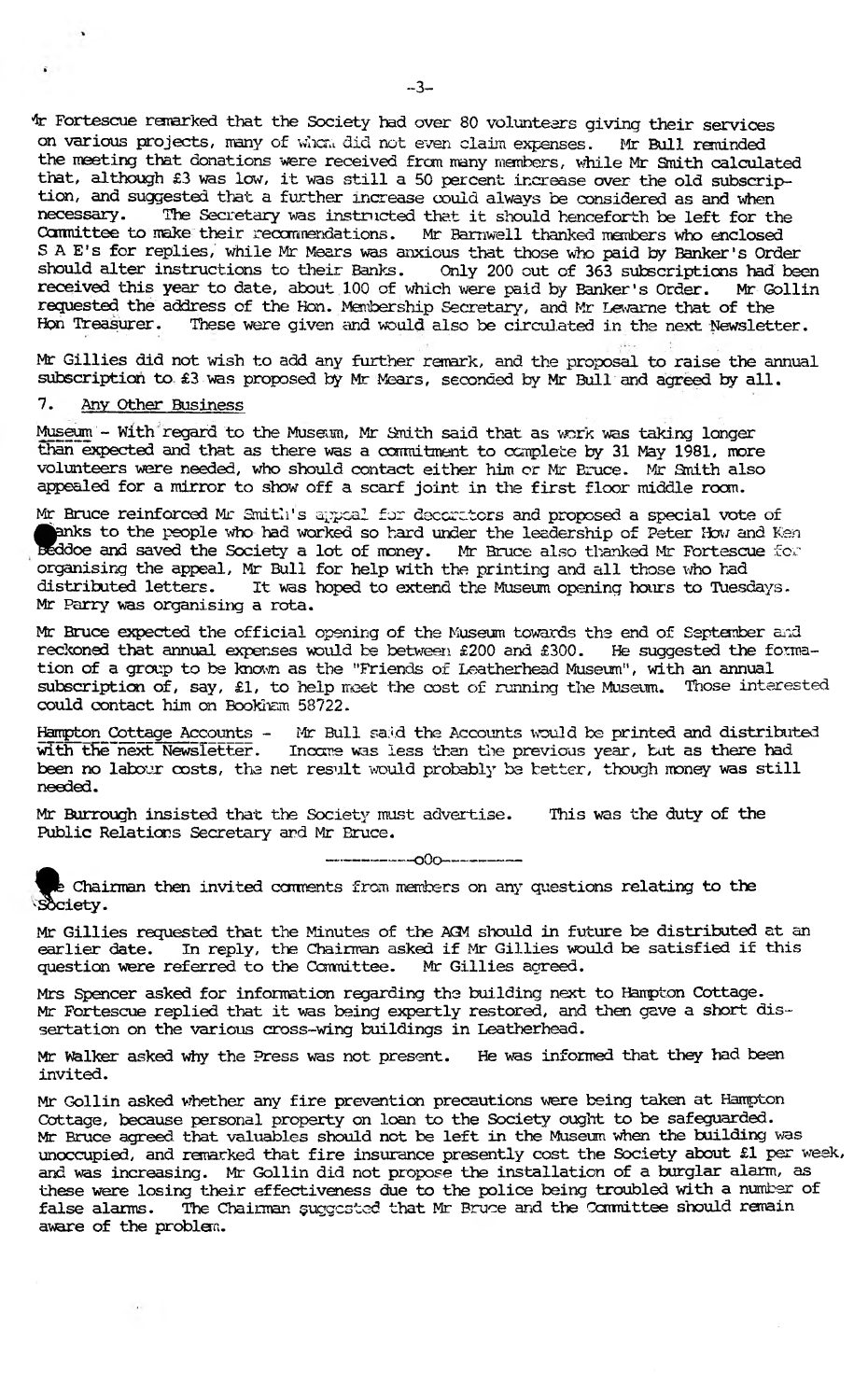4r Fortescue remarked that the Society had over 80 volunteers giving their services on various projects, many of w!tou did not even claim *expenses.* Mr Bull reminded the meeting that donations were received from many members, while Mr Smith calculated that, although £3 was low, it was still a 50 percent increase over the old subscription, and suggested that a further increase could always be considered as and when<br>necessary. The Secretary was instructed that it should henceforth be left for the The Secretary was instructed that it should henceforth be left for the Committee to make their recommendations. Mr Barnwell thanked members who enclosed S A E's for replies, while Mr Mears was anxious that those who paid by Banker's Order should alter instructions to their Banks. Only 200 out of 363 subscriptions had been<br>received this year to date, about 100 of which were paid by Banker's Order. Mr Gollin received this year to date, about 100 of which were paid by Banker's Order. requested the address of the Hon. Membership Secretary, and Mr Lewarne that of the Hon Treasurer. These were given and would also be circulated in the next Newslet These were given and would also be circulated in the next Newsletter.

Mr Gillies did not wish to add any further remark, and the proposal to raise the annual subscription to £3 was proposed by Mr Mears, seconded by Mr Bull and agreed by all.

#### 7. Any Other Business

 $\ddot{\bullet}$ 

Museum - With regard to the Museum, Mr Smith said that as work was taking longer than expected and that as there was a commitment to complete by 31 May 1981, more volunteers were needed, who should contact either him or Mr Bruce. Mr 3nith also appealed for a mirror to show off a scarf joint in the first floor middle room.

Mr Bruce reinforced Mr Smith's appeal for decorators and proposed a special vote of **flunks to the people who had worked so hard under the leadership of Peter Ifow and Ken** Beddoe and saved the Society a lot of money. Mr Bruce also thanked Mr Fortescue for organising the appeal, Mr Bull for help with the printing and all those who had distributed letters. It was hoped to extend the Museum opening hours to Tuesdays. Mr Parry was organising a rota.

Mr Bruce expected the official opening of the Museum towards the end of September and reckoned that annual expenses would be between £200 and £300. He suggested the formation of a group to be known as the "Friends of Leatherhead Museim", with an annual subscription of, say, £1, to help meet the cost of running the Museum. Those interested could contact him on Bookham 58722.

Hampton Cottage Accounts - Mr Bull said the Accounts would be printed and distributed with the next Newsletter. Income was less than the previous year, but as there had Incare was less than the previous year, but as there had been no labour costs, the net result would probably be better, though money was still needed.

Mr Burrough insisted that the Society must advertise. This was the duty of the Public Relations Secretary and Mr Bruce.

**— — —— \*--- o0o-— — —— —**

Society. the Chairman then invited comments from members on any questions relating to the

Mr Gillies requested that the Minutes of the AGM should in future be distributed at an earlier date. In reply, the Chairman asked if Mr Gillies would be satisfied if this question were referred to the Committee. Mr Gillies acreed. question were referred to the Committee.

Mrs Spencer asked for information regarding the building next to Hampton Cottage. Mr Fortescue replied that it was being expertly restored, and then gave a short dissertation on the various cross-wing buildings in Leatherhead.

Mr Walker asked why the Press was not present. He was informed that they had been invited.

Mr Gollin asked whether any fire prevention precautions were being taken at Hampton Cottage, because personal property on loan to the Society ought to be safeguarded. Mr Bruce agreed that valuables should not be left in the MUseum when the building was unoccupied, and remarked that fire insurance presently cost the Society about £1 per week, and was increasing. Mr Gollin did not propose the installation of a burglar alarm, as these were losing their effectiveness due to the police being troubled with a number of false alarms. The Chairman suggested that Mr Bruce and the Committee should remain aware of the problem.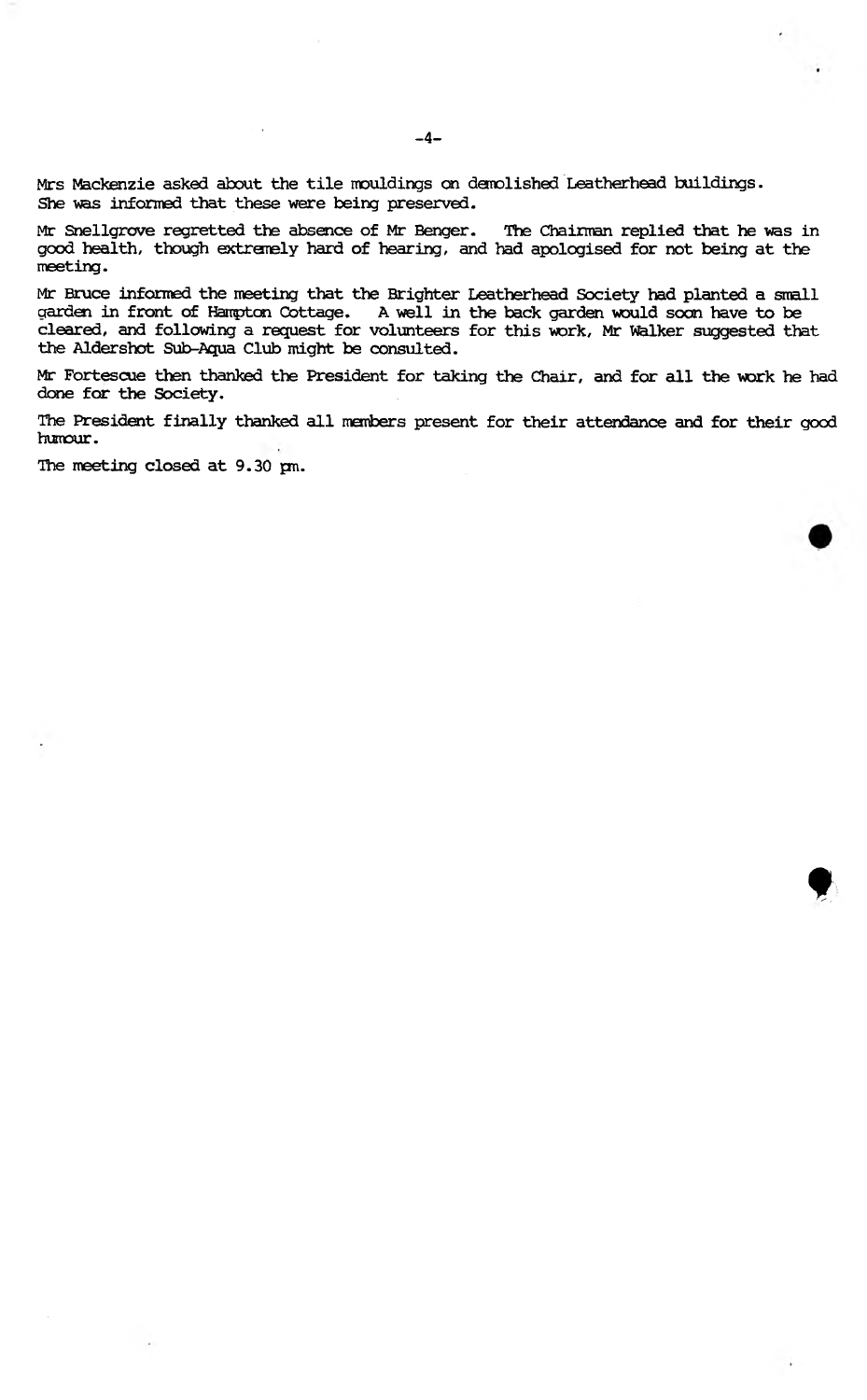Mrs Mackenzie asked about the tile mouldings on demolished Leatherhead buildings. She was informed that these were being preserved.

Mr Snellgrove regretted the absence of Mr Benger. The Chairman replied that he was in good health, though extremely hard of hearing, and had apologised for not being at the meeting.

Mr Bruce informed the meeting that the Brighter Leatherhead Society had planted a small garden in front of Hampton Cottage. A well in the back garden would soon have to be cleared, and following a request for volunteers for this work, Mr walker suggested that the Aldershot Sub-Aqua Club might be consulted.

Mr Fortescue then thanked the President for taking the Chair, and for all the work he had done for the Society.

The President finally thanked all members present for their attendance and for their good humour.

t

The meeting closed at 9.30 pm.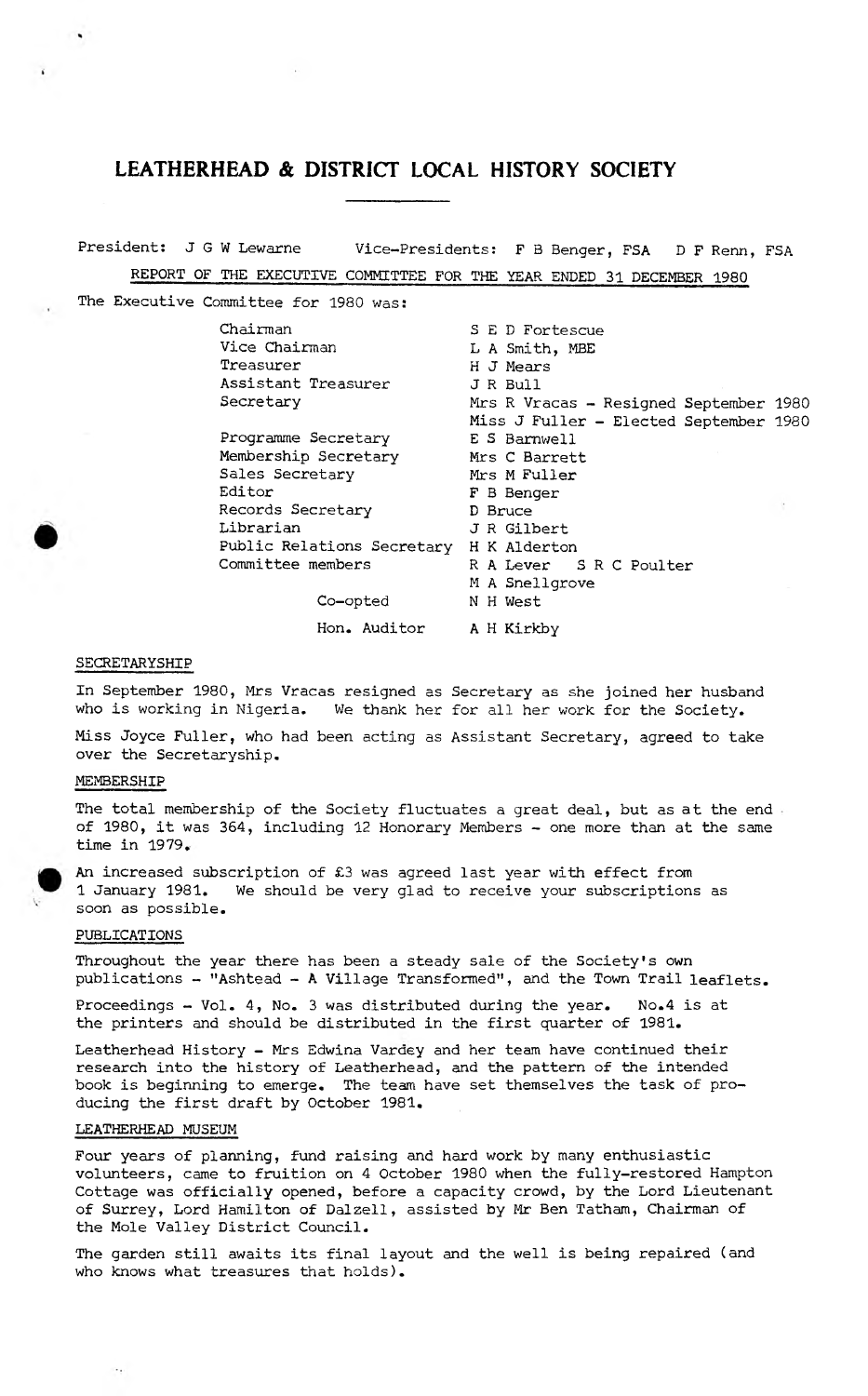President: J G W Lewarne Vice-Presidents: F B Benger, FSA D F Renn, FSA REPORT OF THE EXECUTIVE COMMITTEE FOR THE YEAR ENDED 31 DECEMBER 1980

The Executive Committee for 1980 was:

Chairman S E D Fortescue<br>Vice Chairman L A Smith, MBE L A Smith, MBE Treasurer H J Mears Assistant Treasurer J R Bull Secretary Mrs R Vracas - Resigned September 1980 Miss J Fuller - Elected September 1980 Programme Secretary E S Barnwell Membership Secretary Mrs C Barrett Sales Secretary Mrs M Fuller Editor F B Benger<br>Records Secretary F B Bruce Records Secretary Librarian J R Gilbert Public Relations Secretary H K Alderton Committee members R A Lever S R C Poulter M A Snellgrove Co-opted N H West Hon. Auditor A H Kirkby

#### SECRETARYSHIP

 $\mathbf{r}$ 

In September 1980, Mrs Vracas resigned as Secretary as she joined her husband who is working in Nigeria. We thank her for all her work for the Society.

Miss Joyce Fuller, who had been acting as Assistant Secretary, agreed to take over the Secretaryship.

#### MEMBERSHIP

The total membership of the Society fluctuates a great deal, but as at the end of 1980, it was 364, including 12 Honorary Members - one more than at the same time in 1979.

An increased subscription of £3 was agreed last year with effect from 1 January 1981. We should be very glad to receive your subscriptions as soon as possible.

#### PUBLICATIONS

Throughout the year there has been a steady sale of the Society's own publications - "Ashtead - **A** Village Transformed", and the Town Trail leaflets.

Proceedings - Vol. 4, No. 3 was distributed during the year. No.4 is at the printers and should be distributed in the first quarter of 1981.

Leatherhead History - Mrs Edwina Varaey and her team have continued their research into the history of Leatherhead, and the pattern of the intended book is beginning to emerge. The team have set themselves the task of producing the first draft by October 1981.

#### LEATHERHEAD MUSEUM

Four years of planning, fund raising and hard work by many enthusiastic volunteers, came to fruition on 4 October 1980 when the fully-restored Hampton Cottage was officially opened, before a capacity crowd, by the Lord Lieutenant of Surrey, Lord Hamilton of Dalzell, assisted by Mr Ben Tatham, Chairman of the Mole Valley District Council.

The garden still awaits its final layout and the well is being repaired (and who knows what treasures that holds).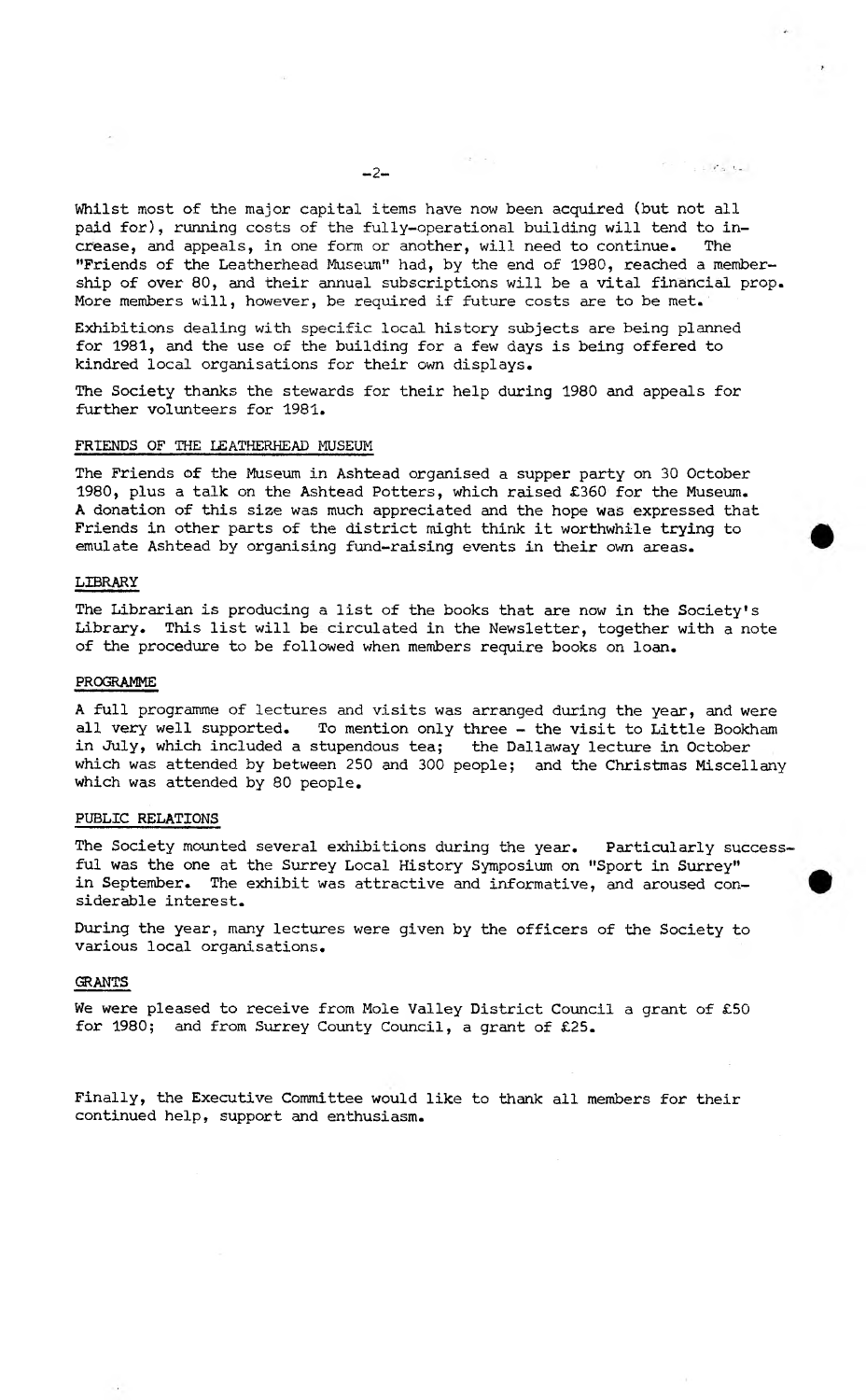$\mathcal{F}=\mathcal{F}_{\mathrm{d}}+\mathcal{R}_{\mathrm{d}}$  and

**Whilst most of the major capital items have now been acquired (but not all paid for), running costs of the fully-operational building will tend to increase, and appeals, in one form or another, will need to continue. The "Friends of the Leatherhead Museum" had, by the end of 1980, reached a membership of over 80, and their annual subscriptions will be a vital financial prop. More members will, however, be required if future costs are to be met.**

**Exhibitions dealing with specific local history subjects are being planned for 1981, and the use of the building for a few days is being offered to kindred local organisations for their own displays.**

**The Society thanks the stewards for their help during 1980 and appeals for further volunteers for 1981.**

### **FRIENDS OF THE LEATHERHEAD MUSEUM**

**The Friends of the Museum in Ashtead organised a supper party on 30 October 1980, plus a talk on the Ashtead Potters, which raised £360 for the Museum. A donation of this size was much appreciated and the hope was expressed that Friends in other parts of the district might think it worthwhile trying to emulate Ashtead by organising fund-raising events in their own areas.**

#### **LIBRARY**

**The Librarian is producing a list of the books that are now in the Society's Library. This list will be circulated in the Newsletter, together with a note of the procedure to be followed when members require books on loan.**

#### **PROGRAMME**

**A full programme of lectures and visits was arranged during the year, and were all very well supported. To mention only three - the visit to Little Bookham in July, which included a stupendous tea; the Daliaway lecture in October which was attended by between 250 and 300 people; and the Christmas Miscellany which was attended by 80 people.**

#### **PUBLIC RELATIONS**

**The Society mounted several exhibitions during the year. Particularly successful was the one at the Surrey Local History Symposium on "Sport in Surrey" in September. The exhibit was attractive and informative, and aroused considerable interest.**

**During the year, many lectures were given by the officers of the Society to various local organisations.**

#### **GRANTS**

**We were pleased to receive from Mole Valley District Council a grant of £50 for 1980; and from Surrey County Council, a grant of £25.**

**Finally, the Executive Committee would like to thank all members for their continued help, support and enthusiasm.**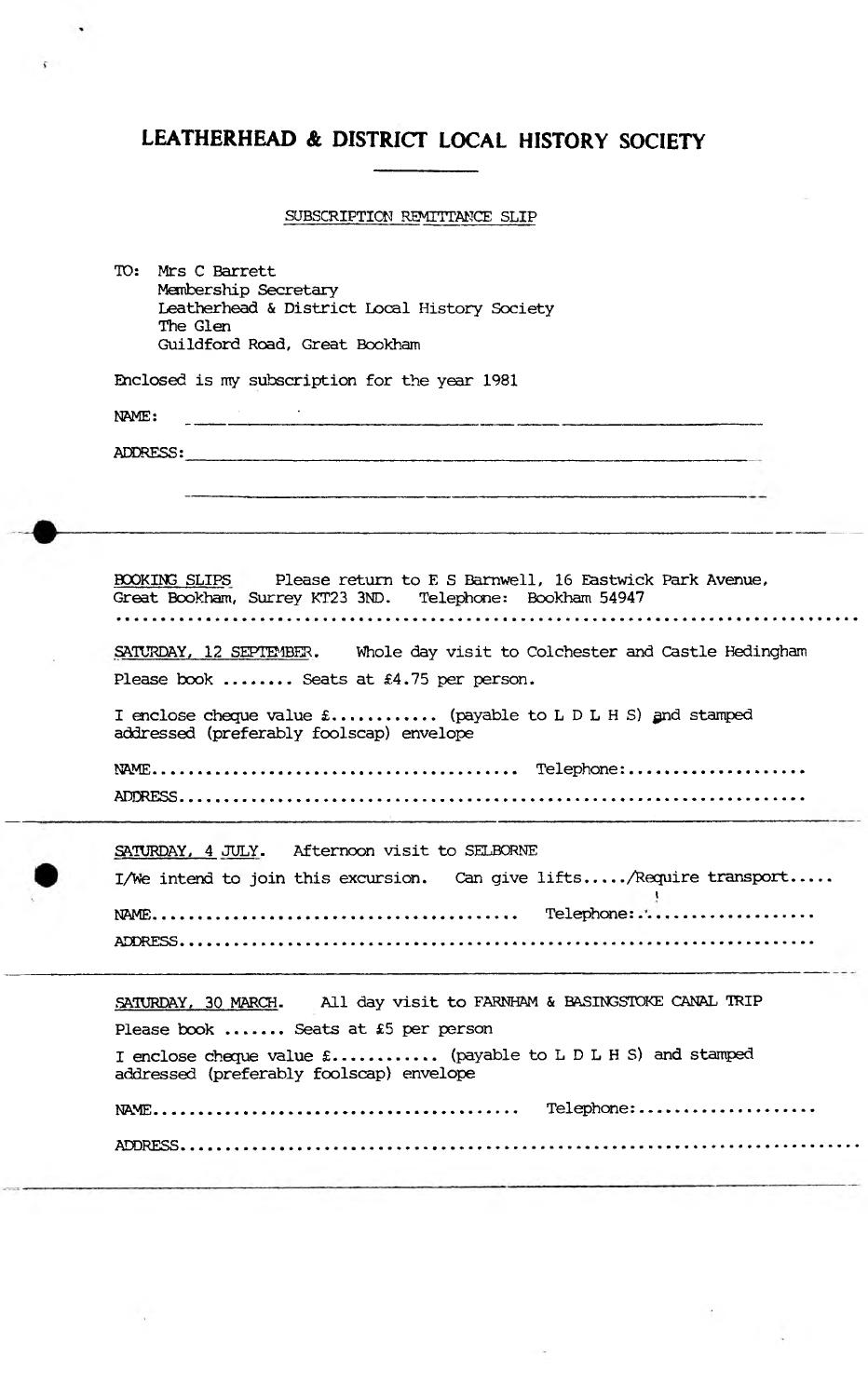$\ddot{\phantom{0}}$ 

ċ.

# **SUBSCRIPTION REMITTANCE SLIP**

| TO: Mrs C Barrett<br>Membership Secretary                                                                                                |
|------------------------------------------------------------------------------------------------------------------------------------------|
| Leatherhead & District Local History Society                                                                                             |
| The Glen<br>Guildford Road, Great Bookham                                                                                                |
|                                                                                                                                          |
| Enclosed is my subscription for the year 1981                                                                                            |
| 1.<br>2000 - Andrew Bernstein, Amerikaansk politiker († 1872)<br>NAME:                                                                   |
| ADDRESS:                                                                                                                                 |
|                                                                                                                                          |
|                                                                                                                                          |
|                                                                                                                                          |
|                                                                                                                                          |
| <b>BOOKING SLIPS</b> Please return to E S Barnwell, 16 Eastwick Park Avenue,<br>Great Bookham, Surrey KT23 3ND. Telephone: Bookham 54947 |
|                                                                                                                                          |
| SATURDAY, 12 SEPTEMBER. Whole day visit to Colchester and Castle Hedingham                                                               |
| Please book  Seats at £4.75 per person.                                                                                                  |
| I enclose cheque value $\text{\pounds}$ (payable to L D L H S) and stamped<br>addressed (preferably foolscap) envelope                   |
|                                                                                                                                          |
|                                                                                                                                          |
|                                                                                                                                          |
| SATURDAY, 4 JULY. Afternoon visit to SELBORNE                                                                                            |
| I/We intend to join this excursion. Can give lifts/Require transport                                                                     |
|                                                                                                                                          |
| ADDRESS                                                                                                                                  |
|                                                                                                                                          |
| All day visit to FARNHAM & BASINGSTOKE CANAL TRIP<br>SATURDAY, 30 MARCH.                                                                 |
| Please book  Seats at £5 per person                                                                                                      |
| I enclose cheque value £ (payable to L D L H S) and stamped                                                                              |
| addressed (preferably foolscap) envelope                                                                                                 |
|                                                                                                                                          |
|                                                                                                                                          |
|                                                                                                                                          |
|                                                                                                                                          |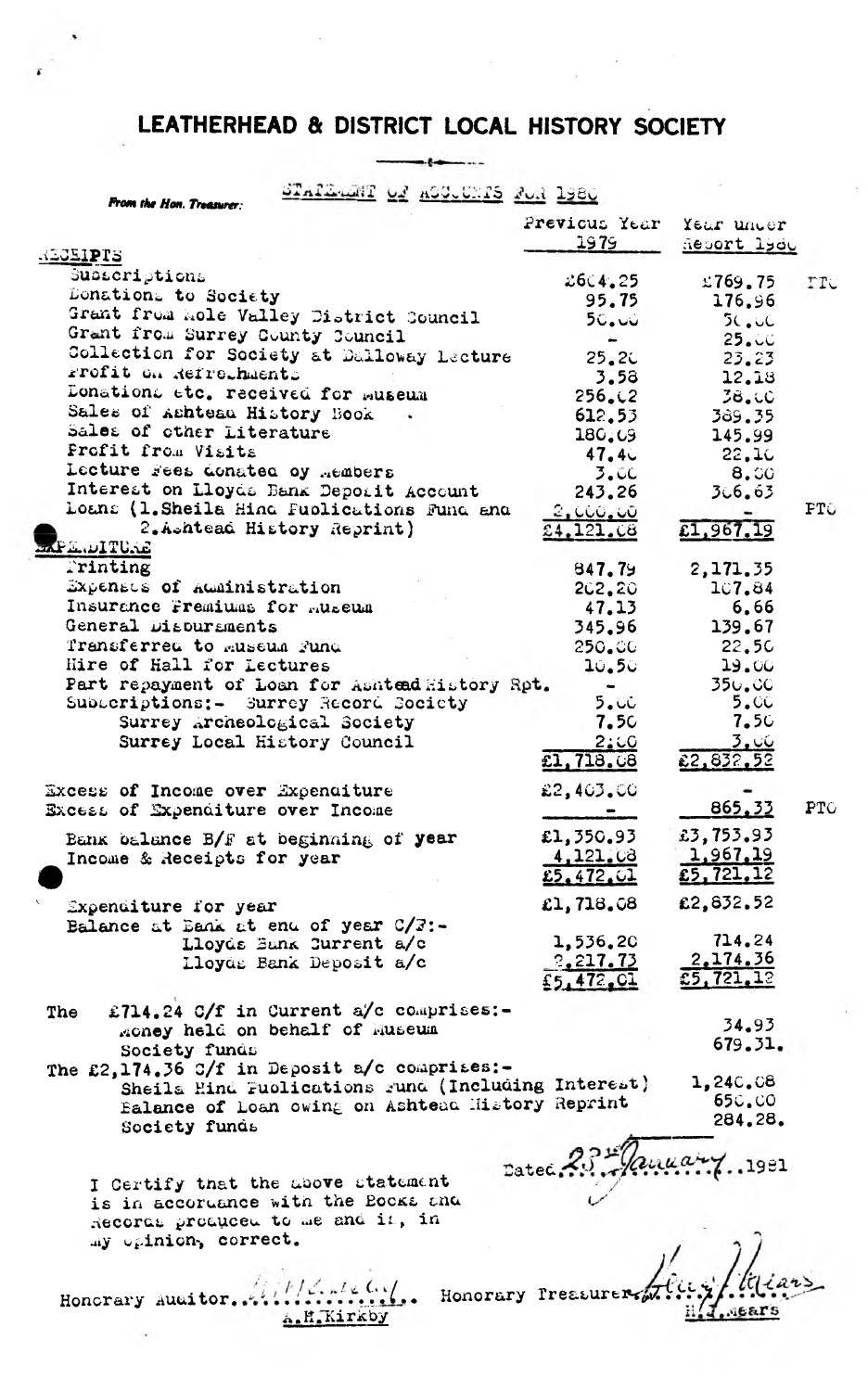$\rightarrow$ 

----

| <u> STAILART OF ASCULTS FOR 1980</u><br>From the Hon. Treasurer:                                       |                              |                             |     |
|--------------------------------------------------------------------------------------------------------|------------------------------|-----------------------------|-----|
|                                                                                                        | Previous Year                | Year uncer                  |     |
| REGEIPTS                                                                                               | 1979                         | Report lyde                 |     |
| Subacriptions                                                                                          |                              |                             |     |
| Donations to Society                                                                                   | 26C4.25                      | 2769.75                     | TTC |
| Grant from mole Valley District Council                                                                | 95.75                        | 176.96                      |     |
| Grant from Surrey County Council                                                                       | 50.00                        | 5C <sub>o</sub> UC<br>25.UC |     |
| Collection for Society at Dalloway Lecture                                                             | $\bullet$<br>25.2C           | 23.23                       |     |
| Frofit on Refrechments                                                                                 | 3.58                         | 12.18                       |     |
| Donations etc. received for museum                                                                     | 256.02                       | 38.00                       |     |
| Sales of Ashteau History Book                                                                          | 612.53                       | 389.35                      |     |
| Sales of other Literature                                                                              | 180.09                       | 145.99                      |     |
| Profit from Visits                                                                                     | 47.4c                        | 22.10                       |     |
| Lecture Fees donated by Aembers                                                                        | 3.00                         | 8.00                        |     |
| Interest on Lloyds Bank Deporit Account                                                                | 243.26                       | 3.6.63                      |     |
| Loans (1. Sheila Hind Publications Fund and                                                            | 2,000.00                     |                             | PTO |
| 2.Ashtead History Reprint)                                                                             | 24,121.08                    | £1,967.19                   |     |
| <b>EXPLANITURE</b>                                                                                     |                              |                             |     |
| Trinting                                                                                               | 847.79                       | 2,171.35                    |     |
| Expenses of Administration<br>Insurance Fremiums for Ruseum                                            | 202.20                       | 107.84                      |     |
| General Disbursments                                                                                   | 47.13<br>345.96              | 6.66<br>139.67              |     |
| Transferred to museum Fund                                                                             | 250.00                       | 22.50                       |     |
| Hire of Hall for Lectures                                                                              | 10.50                        | 19.00                       |     |
| Part repayment of Loan for Ashtead History Rpt.                                                        |                              | 350.00                      |     |
| Subscriptions:- Surrey Record Society                                                                  | 5.00                         | 5.CC                        |     |
| Surrey Archeological Society                                                                           | 7.5C                         | 7.50                        |     |
| Surrey Local History Council                                                                           | 2:00                         | 3. CG                       |     |
|                                                                                                        | £1,718.08                    | 22,832,52                   |     |
| Excess of Income over Expenditure                                                                      | £2,403.00                    |                             |     |
| Excess of Expenditure over Income                                                                      |                              | 865,33                      | PTC |
|                                                                                                        |                              |                             |     |
| Bank balance B/F at beginning of year                                                                  | £1,350.93                    | £3,753.93                   |     |
| Income & Receipts for year                                                                             | 4,121.08<br>£5,472,01        | 1,967,19<br>£5, 721, 12     |     |
|                                                                                                        |                              |                             |     |
| Expenditure for year                                                                                   | £1, 718, 08                  | £2,832.52                   |     |
| Balance at Bank at end of year $C/3$ :-                                                                |                              |                             |     |
| Lloyds Bunk Current a/c                                                                                | 1,536.20                     | 714.24<br>2.174.36          |     |
| Lloyds Bank Deposit a/c                                                                                | <u>2,217.73</u><br>£5,472.01 | 5, 721, 12                  |     |
|                                                                                                        |                              |                             |     |
| £714.24 C/f in Current a/c comprises:-<br>The                                                          |                              |                             |     |
| money held on behalf of Museum                                                                         |                              | 34.93<br>679.31.            |     |
| Society funds                                                                                          |                              |                             |     |
| The £2,174.36 C/f in Deposit $a/c$ comprises:-                                                         |                              | 1,24C.C8                    |     |
| Sheila Hind Publications rund (Including Interest)<br>Balance of Loan owing on Ashtead History Reprint |                              | <b>650.00</b>               |     |
| Society funds                                                                                          |                              | 284.28.                     |     |
|                                                                                                        |                              |                             |     |
|                                                                                                        |                              |                             |     |
| I Certify that the above statement                                                                     | Datec. 23 Manuary 1991       |                             |     |
| is in accordance with the Books and                                                                    |                              |                             |     |
| Records produced to de and it, in                                                                      |                              |                             |     |
| my opinion, correct.                                                                                   |                              |                             |     |
|                                                                                                        |                              |                             |     |
|                                                                                                        |                              |                             |     |
| Honcrary Ausitor. All Marshall Honorary Preasurer                                                      |                              |                             |     |
| A.H.Kirkby                                                                                             |                              |                             |     |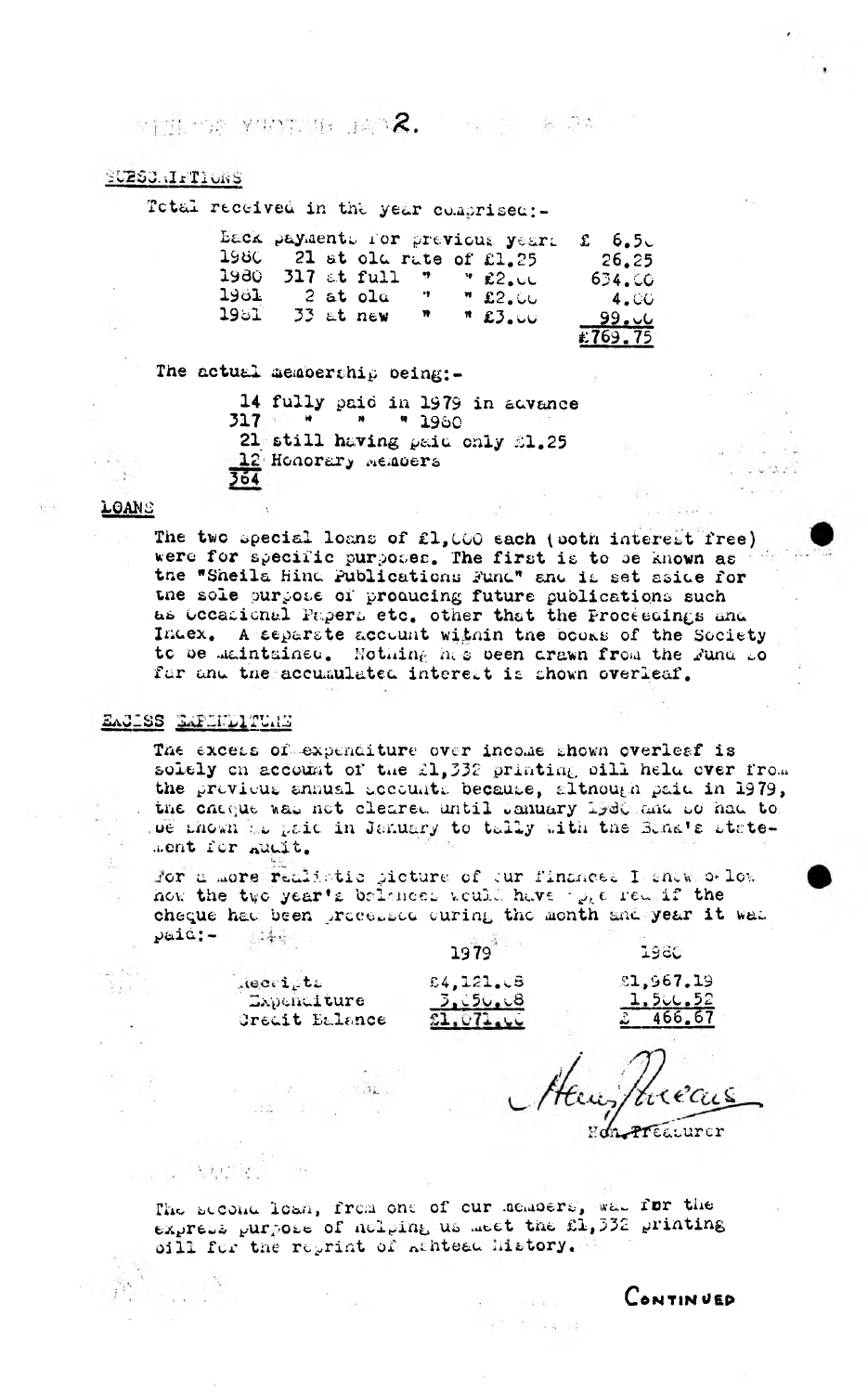**RESERVE THE HUNDRY SERVICE** 

#### SUESCRIFTIONS

Total received in the year comprised:-

|        |  |             |              | Back payments for previous years                             | $\mathfrak{L}$ 6.5 |
|--------|--|-------------|--------------|--------------------------------------------------------------|--------------------|
| 1980 - |  |             |              | 21 at old rate of £1.25                                      | 26.25              |
| 1980.  |  |             |              | 317 at full $\overline{y}$ $\overline{y}$ and $\overline{z}$ | 634.00             |
| 1981 - |  | 2 at old    | $\sim 200$   | "E2.00                                                       | 4.CO               |
| 1981   |  | $33$ at new | $\mathbf{w}$ | "E3.00                                                       | نان و 99_          |
|        |  |             |              |                                                              | 1.769.75           |

The actual membership being:-

14 fully paid in 1979 in advance  $317$   $*$   $*$   $*$   $*$   $1960$ 21 still having paid only 21.25 12 Honorary Memoers  $364$ 

#### LOANS

The two special loans of £1,000 each (poth interest free) were for specific purposes. The first is to be known as the "Sheila Hind Publications Fund" and it set aside for the sole purpose of producing future publications such as Occasional Papers etc. other that the Proceedings and Index. A separate accuunt within the books of the Society to be maintained. Nothing his been arawn from the Fund so for and the accumulated interest is shown overleaf.

## EACISS EAPHELITERS

The excess of expenditure over income shown overlesf is solely on account of the 21,332 printing bill held over from the provious annual accounts because, although paid in 1979, the chaque was not cleared until January 1960 and so had to De thown it paid in January to tally with the Band's statement for numb.

For a more realistic picture of our finances I show o low how the two year's belances would have  $\gamma_{\nu k}$  a red if the cheque had been proceduce curing the month and year it was paid:- size

> lecripti Expenditure Creait Balance

 $\label{eq:2.1} \mathcal{A} \mathcal{A} = \mathcal{A} - \mathcal{A} \mathcal{A} = \mathcal{A} \mathcal{A}$ 

 $\sim$   $^{-1}$   $M_{\star}$  .

 $\epsilon = \alpha_{\rm e}$  ,  $\delta_{\rm e}$ 

 $\mathcal{R}(\mathbf{y},t)$  ,  $\mathcal{S}$ 

£4,121.08  $3.150.18$  $51,071,00$ 

1979

1980 £1,967.19

> 1.50C.52  $466.67$

The second loan, from one of cur memoers, was for the express purpose of neiging us meet the fi, 332 printing oill for the reprint of Athteed History.

> $\delta=-0.0001$  $-1$   $-1$   $-1$   $-1$   $-1$   $-1$   $-1$

CONTINUED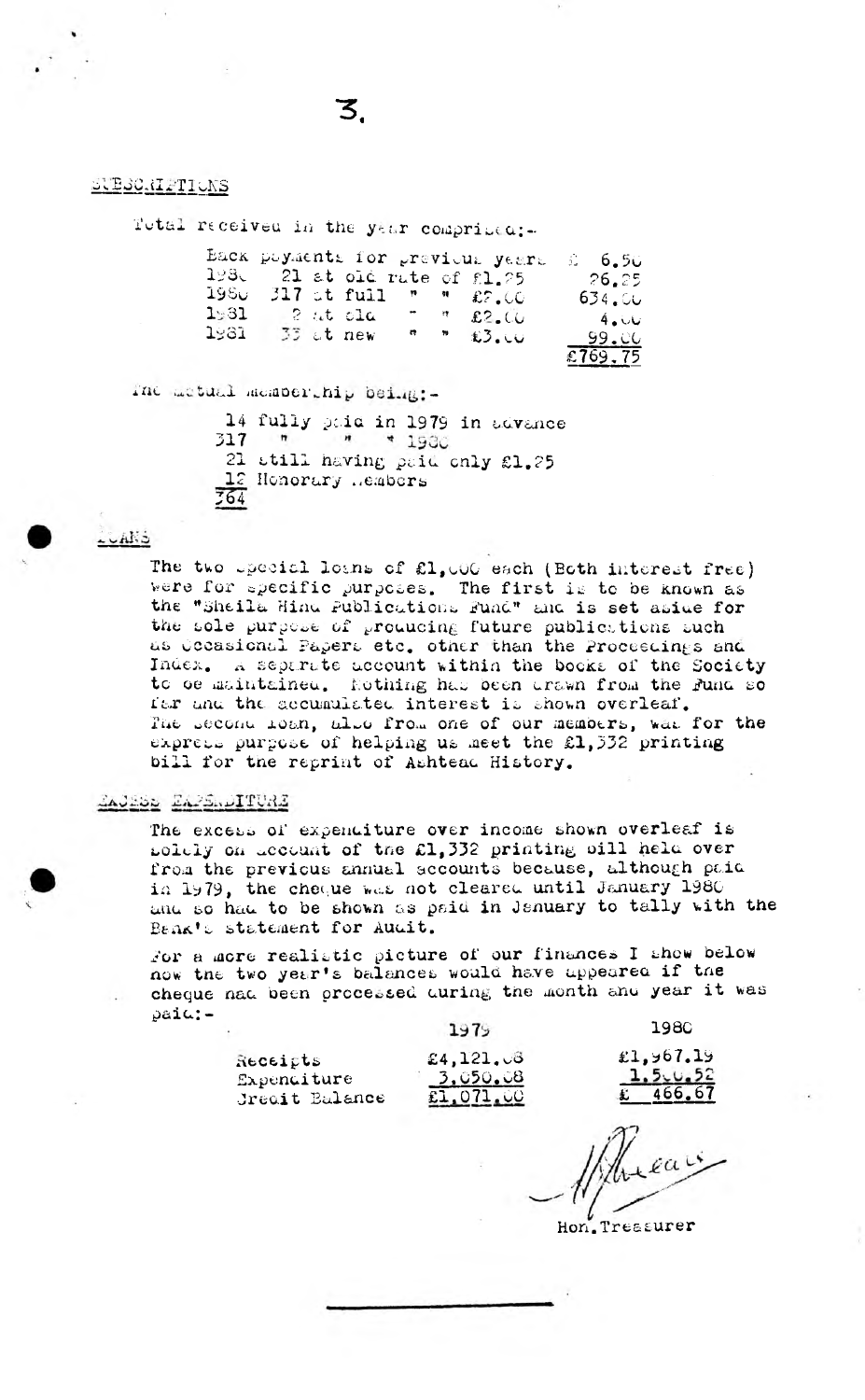#### SUBSCRIPTIONS

Total received in the year comprised:-

|         |  |                              |  | Eack poyments for grevious years                                                                                                                                                                                                                                                                                    | ు 6.50   |
|---------|--|------------------------------|--|---------------------------------------------------------------------------------------------------------------------------------------------------------------------------------------------------------------------------------------------------------------------------------------------------------------------|----------|
|         |  |                              |  | $193$ . 21 at old rate of $f1.25$                                                                                                                                                                                                                                                                                   | $-26.25$ |
| -1960 - |  |                              |  | 317 ot full $m = 0.500$                                                                                                                                                                                                                                                                                             | 634.50   |
| 1:31    |  | $\approx$ 2 at old $\approx$ |  | 7.72.00                                                                                                                                                                                                                                                                                                             | 4.00     |
| 1981.   |  | 33 at new                    |  | $\frac{1}{2}$ $\frac{1}{2}$ $\frac{1}{2}$ $\frac{1}{2}$ $\frac{1}{2}$ $\frac{1}{2}$ $\frac{1}{2}$ $\frac{1}{2}$ $\frac{1}{2}$ $\frac{1}{2}$ $\frac{1}{2}$ $\frac{1}{2}$ $\frac{1}{2}$ $\frac{1}{2}$ $\frac{1}{2}$ $\frac{1}{2}$ $\frac{1}{2}$ $\frac{1}{2}$ $\frac{1}{2}$ $\frac{1}{2}$ $\frac{1}{2}$ $\frac{1}{2}$ | - 99.00  |
|         |  |                              |  |                                                                                                                                                                                                                                                                                                                     | £769,75  |

The actual membership being:-

|     |                        |  |  | 14 fully paid in 1979 in advance |
|-----|------------------------|--|--|----------------------------------|
|     | $317$ $''$ $''$ $1930$ |  |  |                                  |
|     |                        |  |  | 21 still having paid only £1.25  |
|     | 12 Henorary .embers    |  |  |                                  |
| 764 |                        |  |  |                                  |
|     |                        |  |  |                                  |

#### calls.

The two upecial loans of £1,000 each (Ecth interest free) were for specific purposes. The first is to be known as the "Sheila Hind Publications Fund" and is set aside for the sole purpose of producing future publications such as Occasional Papers etc. other than the Proceedings and Index. A separate account within the books of the Society to be maintained. Nothing has been drawn from the Fund so far and the accumulated interest is shown overleaf. The Second loan, also from one of our members, was for the express purpose of helping us meet the £1,332 printing bill for the reprint of Ashtead History.

### ZAJESS ZAPSADITURE

The excess of expenditure over income shown overleaf is solely on account of the £1,332 printing bill held over from the previous annual secounts because, although paid in 1979, the cheque was not cleared until January 1980 and so had to be shown as paid in January to tally with the Benk's statement for Audit.

For a more realistic picture of our finances I show below how the two year's balances would have uppeared if the cheque nad been processed during the month and year it was  $\varphi$ ai $\omega$ : -

| Receipts    |                       |  |
|-------------|-----------------------|--|
| Expenditure |                       |  |
|             | <b>Jreait Balance</b> |  |

| 19/5            |  |
|-----------------|--|
| £4,121.06       |  |
| <u>3,050.08</u> |  |
| £1,071.00       |  |

**1980** 

£1,967.19 1.5<sub>-0.52</sub> 466.67

Hon.Treasurer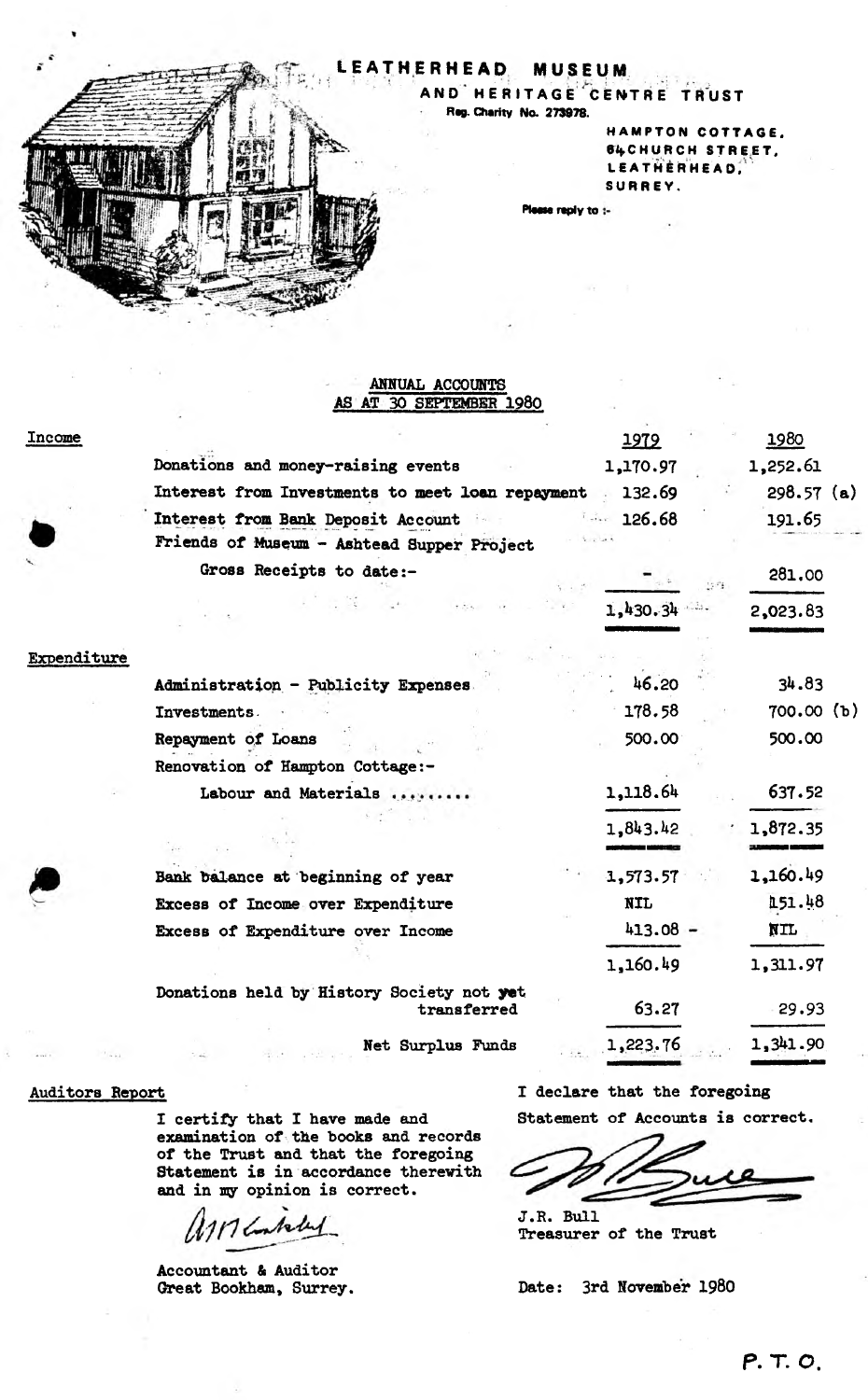# LEATHERHEAD MUSEUM

**AND HERITAGE CENTRE TRUST** Rag. Charity No. 273978.

> HAMPTON COTTAGE. e^CHURCH STREET. LEATHERHEAD. SURREY.

e reply to :-

#### **ANNUAL ACCOUNTS AS AT 30 SEPTEMBER 1980**

| Income      |                                                          | 1979       |      | 1980         |  |
|-------------|----------------------------------------------------------|------------|------|--------------|--|
|             | Donations and money-raising events                       | 1,170.97   |      | 1,252.61     |  |
|             | Interest from Investments to meet loan repayment 132.69  |            |      | $298.57$ (a) |  |
|             | Interest from Bank Deposit Account                       | 126.68     |      | 191.65       |  |
|             | Friends of Museum - Ashtead Supper Project               |            |      |              |  |
|             | Gross Receipts to date:-                                 |            | 1583 | 281.00       |  |
|             |                                                          | 1,430.34   |      | 2,023.83     |  |
| Expenditure |                                                          |            |      |              |  |
|             | Administration - Publicity Expenses                      | 46.20      |      | 34.83        |  |
|             | Investments.                                             | 178.58     |      | 700.00(h)    |  |
|             | Repayment of Loans                                       | 500.00     |      | 500.00       |  |
|             | Renovation of Hampton Cottage:-                          |            |      |              |  |
|             | Labour and Materials                                     | 1,118.64   |      | 637.52       |  |
|             |                                                          | 1,843.42   |      | 1,872.35     |  |
|             | Bank balance at beginning of year                        | 1,573.57   |      | 1,160.49     |  |
|             | Excess of Income over Expenditure                        | <b>NIL</b> |      | 151.48       |  |
|             | Excess of Expenditure over Income                        | $413.08 -$ |      | NIL          |  |
|             |                                                          | 1,160.49   |      | 1,311.97     |  |
|             | Donations held by History Society not yet<br>transferred | 63.27      |      | 29.93        |  |
|             | Net Surplus Funds                                        | 1,223.76   |      | 1,341.90     |  |

#### **Auditors Report**

**I certify that I have made and examination of the books and records of the Trust and that the foregoing Statement is in accordance therewith and in my opinion is correct.**

117 Contacted

**Accountant & Auditor Great Bookham, Surrey.**

**I declare that the foregoing**

**Statement of Accounts is correct.**

**J.R. Bull Treasurer of the Trust**

**Date: 3rd November 1980**